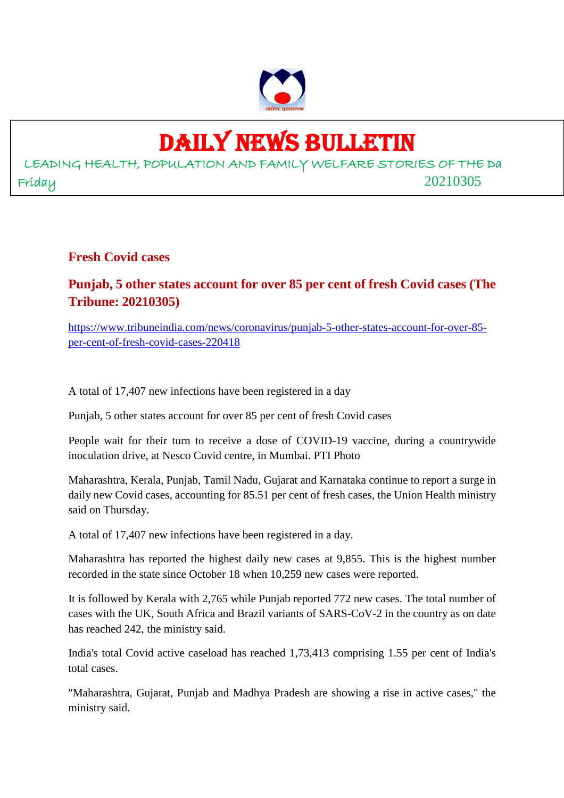

# DAILY NEWS BULLETIN

LEADING HEALTH, POPULATION AND FAMILY WELFARE STORIES OF THE Da Friday 20210305

**Fresh Covid cases**

**Punjab, 5 other states account for over 85 per cent of fresh Covid cases (The Tribune: 20210305)**

https://www.tribuneindia.com/news/coronavirus/punjab-5-other-states-account-for-over-85 per-cent-of-fresh-covid-cases-220418

A total of 17,407 new infections have been registered in a day

Punjab, 5 other states account for over 85 per cent of fresh Covid cases

People wait for their turn to receive a dose of COVID-19 vaccine, during a countrywide inoculation drive, at Nesco Covid centre, in Mumbai. PTI Photo

Maharashtra, Kerala, Punjab, Tamil Nadu, Gujarat and Karnataka continue to report a surge in daily new Covid cases, accounting for 85.51 per cent of fresh cases, the Union Health ministry said on Thursday.

A total of 17,407 new infections have been registered in a day.

Maharashtra has reported the highest daily new cases at 9,855. This is the highest number recorded in the state since October 18 when 10,259 new cases were reported.

It is followed by Kerala with 2,765 while Punjab reported 772 new cases. The total number of cases with the UK, South Africa and Brazil variants of SARS-CoV-2 in the country as on date has reached 242, the ministry said.

India's total Covid active caseload has reached 1,73,413 comprising 1.55 per cent of India's total cases.

"Maharashtra, Gujarat, Punjab and Madhya Pradesh are showing a rise in active cases," the ministry said.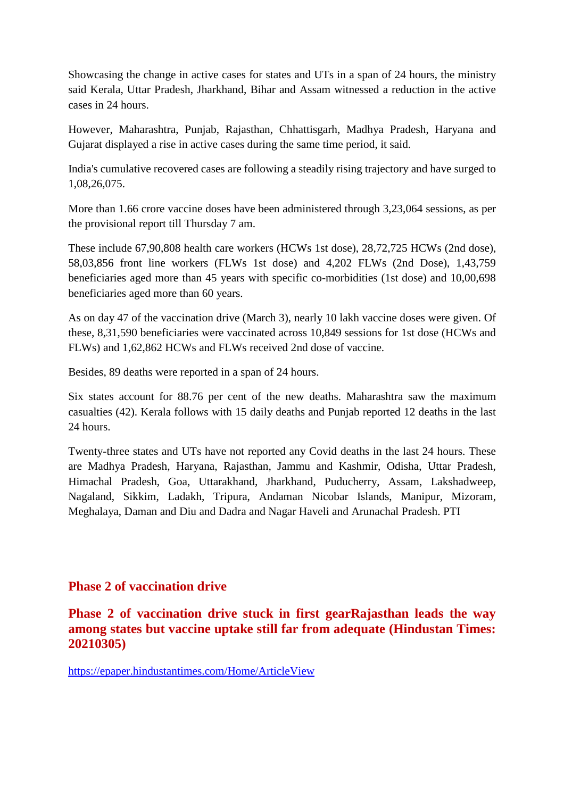Showcasing the change in active cases for states and UTs in a span of 24 hours, the ministry said Kerala, Uttar Pradesh, Jharkhand, Bihar and Assam witnessed a reduction in the active cases in 24 hours.

However, Maharashtra, Punjab, Rajasthan, Chhattisgarh, Madhya Pradesh, Haryana and Gujarat displayed a rise in active cases during the same time period, it said.

India's cumulative recovered cases are following a steadily rising trajectory and have surged to 1,08,26,075.

More than 1.66 crore vaccine doses have been administered through 3,23,064 sessions, as per the provisional report till Thursday 7 am.

These include 67,90,808 health care workers (HCWs 1st dose), 28,72,725 HCWs (2nd dose), 58,03,856 front line workers (FLWs 1st dose) and 4,202 FLWs (2nd Dose), 1,43,759 beneficiaries aged more than 45 years with specific co-morbidities (1st dose) and 10,00,698 beneficiaries aged more than 60 years.

As on day 47 of the vaccination drive (March 3), nearly 10 lakh vaccine doses were given. Of these, 8,31,590 beneficiaries were vaccinated across 10,849 sessions for 1st dose (HCWs and FLWs) and 1,62,862 HCWs and FLWs received 2nd dose of vaccine.

Besides, 89 deaths were reported in a span of 24 hours.

Six states account for 88.76 per cent of the new deaths. Maharashtra saw the maximum casualties (42). Kerala follows with 15 daily deaths and Punjab reported 12 deaths in the last 24 hours.

Twenty-three states and UTs have not reported any Covid deaths in the last 24 hours. These are Madhya Pradesh, Haryana, Rajasthan, Jammu and Kashmir, Odisha, Uttar Pradesh, Himachal Pradesh, Goa, Uttarakhand, Jharkhand, Puducherry, Assam, Lakshadweep, Nagaland, Sikkim, Ladakh, Tripura, Andaman Nicobar Islands, Manipur, Mizoram, Meghalaya, Daman and Diu and Dadra and Nagar Haveli and Arunachal Pradesh. PTI

#### **Phase 2 of vaccination drive**

#### **Phase 2 of vaccination drive stuck in first gearRajasthan leads the way among states but vaccine uptake still far from adequate (Hindustan Times: 20210305)**

https://epaper.hindustantimes.com/Home/ArticleView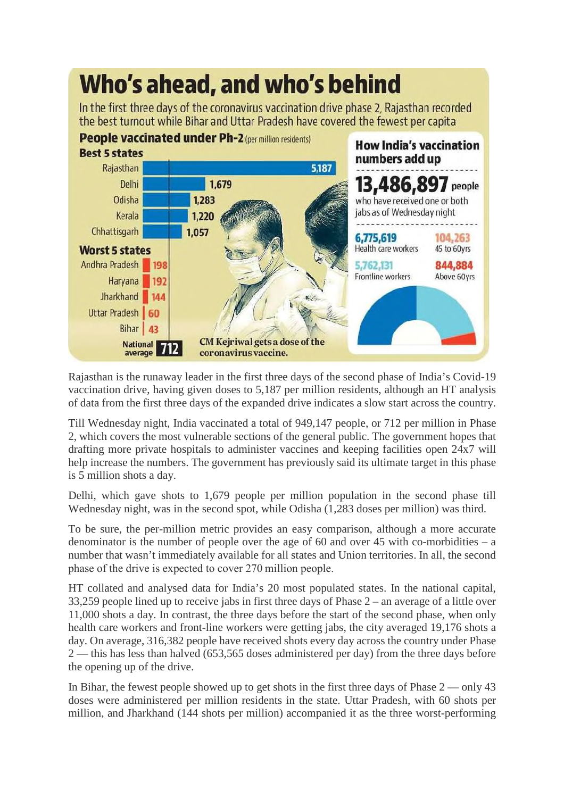# Who's ahead, and who's behind

In the first three days of the coronavirus vaccination drive phase 2, Rajasthan recorded the best turnout while Bihar and Uttar Pradesh have covered the fewest per capita



Rajasthan is the runaway leader in the first three days of the second phase of India's Covid-19 vaccination drive, having given doses to 5,187 per million residents, although an HT analysis of data from the first three days of the expanded drive indicates a slow start across the country.

Till Wednesday night, India vaccinated a total of 949,147 people, or 712 per million in Phase 2, which covers the most vulnerable sections of the general public. The government hopes that drafting more private hospitals to administer vaccines and keeping facilities open 24x7 will help increase the numbers. The government has previously said its ultimate target in this phase is 5 million shots a day.

Delhi, which gave shots to 1,679 people per million population in the second phase till Wednesday night, was in the second spot, while Odisha (1,283 doses per million) was third.

To be sure, the per-million metric provides an easy comparison, although a more accurate denominator is the number of people over the age of 60 and over 45 with co-morbidities  $-$  a number that wasn't immediately available for all states and Union territories. In all, the second phase of the drive is expected to cover 270 million people.

HT collated and analysed data for India's 20 most populated states. In the national capital, 33,259 people lined up to receive jabs in first three days of Phase 2 – an average of a little over 11,000 shots a day. In contrast, the three days before the start of the second phase, when only health care workers and front-line workers were getting jabs, the city averaged 19,176 shots a day. On average, 316,382 people have received shots every day across the country under Phase 2 — this has less than halved (653,565 doses administered per day) from the three days before the opening up of the drive.

In Bihar, the fewest people showed up to get shots in the first three days of Phase 2 — only 43 doses were administered per million residents in the state. Uttar Pradesh, with 60 shots per million, and Jharkhand (144 shots per million) accompanied it as the three worst-performing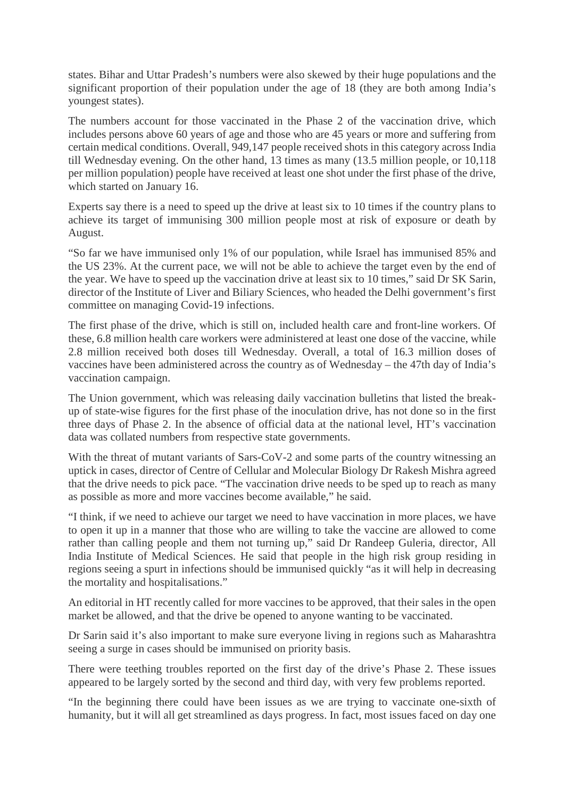states. Bihar and Uttar Pradesh's numbers were also skewed by their huge populations and the significant proportion of their population under the age of 18 (they are both among India's youngest states).

The numbers account for those vaccinated in the Phase 2 of the vaccination drive, which includes persons above 60 years of age and those who are 45 years or more and suffering from certain medical conditions. Overall, 949,147 people received shots in this category across India till Wednesday evening. On the other hand, 13 times as many (13.5 million people, or 10,118 per million population) people have received at least one shot under the first phase of the drive, which started on January 16.

Experts say there is a need to speed up the drive at least six to 10 times if the country plans to achieve its target of immunising 300 million people most at risk of exposure or death by August.

"So far we have immunised only 1% of our population, while Israel has immunised 85% and the US 23%. At the current pace, we will not be able to achieve the target even by the end of the year. We have to speed up the vaccination drive at least six to 10 times," said Dr SK Sarin, director of the Institute of Liver and Biliary Sciences, who headed the Delhi government's first committee on managing Covid-19 infections.

The first phase of the drive, which is still on, included health care and front-line workers. Of these, 6.8 million health care workers were administered at least one dose of the vaccine, while 2.8 million received both doses till Wednesday. Overall, a total of 16.3 million doses of vaccines have been administered across the country as of Wednesday – the 47th day of India's vaccination campaign.

The Union government, which was releasing daily vaccination bulletins that listed the breakup of state-wise figures for the first phase of the inoculation drive, has not done so in the first three days of Phase 2. In the absence of official data at the national level, HT's vaccination data was collated numbers from respective state governments.

With the threat of mutant variants of Sars-CoV-2 and some parts of the country witnessing an uptick in cases, director of Centre of Cellular and Molecular Biology Dr Rakesh Mishra agreed that the drive needs to pick pace. "The vaccination drive needs to be sped up to reach as many as possible as more and more vaccines become available," he said.

"I think, if we need to achieve our target we need to have vaccination in more places, we have to open it up in a manner that those who are willing to take the vaccine are allowed to come rather than calling people and them not turning up," said Dr Randeep Guleria, director, All India Institute of Medical Sciences. He said that people in the high risk group residing in regions seeing a spurt in infections should be immunised quickly "as it will help in decreasing the mortality and hospitalisations."

An editorial in HT recently called for more vaccines to be approved, that their sales in the open market be allowed, and that the drive be opened to anyone wanting to be vaccinated.

Dr Sarin said it's also important to make sure everyone living in regions such as Maharashtra seeing a surge in cases should be immunised on priority basis.

There were teething troubles reported on the first day of the drive's Phase 2. These issues appeared to be largely sorted by the second and third day, with very few problems reported.

"In the beginning there could have been issues as we are trying to vaccinate one-sixth of humanity, but it will all get streamlined as days progress. In fact, most issues faced on day one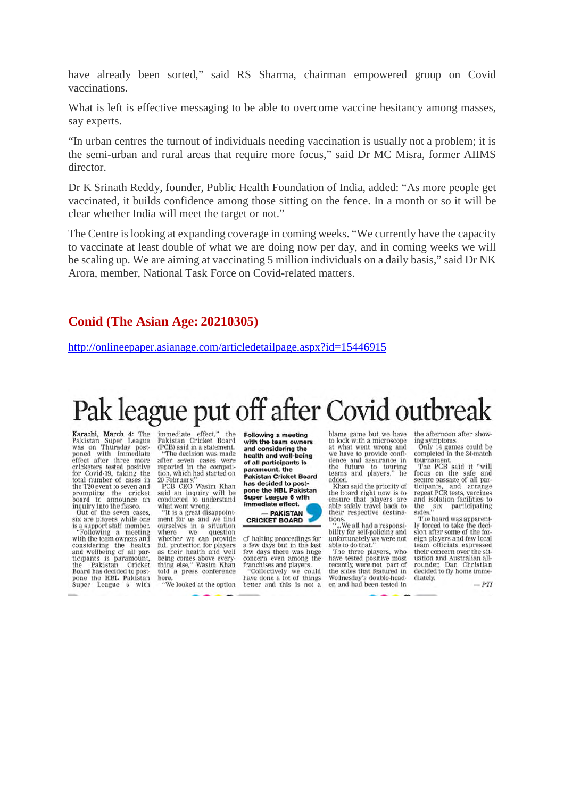have already been sorted," said RS Sharma, chairman empowered group on Covid vaccinations.

What is left is effective messaging to be able to overcome vaccine hesitancy among masses, say experts.

"In urban centres the turnout of individuals needing vaccination is usually not a problem; it is the semi-urban and rural areas that require more focus," said Dr MC Misra, former AIIMS director.

Dr K Srinath Reddy, founder, Public Health Foundation of India, added: "As more people get vaccinated, it builds confidence among those sitting on the fence. In a month or so it will be clear whether India will meet the target or not."

The Centre is looking at expanding coverage in coming weeks. "We currently have the capacity to vaccinate at least double of what we are doing now per day, and in coming weeks we will be scaling up. We are aiming at vaccinating 5 million individuals on a daily basis," said Dr NK Arora, member, National Task Force on Covid-related matters.

#### **Conid (The Asian Age: 20210305)**

http://onlineepaper.asianage.com/articledetailpage.aspx?id=15446915

# Pak league put off after Covid outbreak

Karachi, March 4: The<br>Pakistan Super League<br>was on Thursday postponed with immediate<br>effect after three more cricketers tested positive<br>for Covid-19, taking the<br>total number of cases in the T20 event to seven and the rate of event to several and<br>board to announce an<br>inquiry into the fiasco.<br>Out of the seven cases,<br>six are players while one

is a support staff member.<br>"Following a meeting Following a meeting<br>with the team owners and<br>considering the health<br>and wellbeing of all par-<br>ticipants is paramount,<br>the Pakistan Cricket<br>Board has decided to post-<br>mone the HRI. Pakistan pone the HBL Pakistan<br>Super League 6 with

immediate effect," the<br>Pakistan Cricket Board (PCB) said in a statement. "The decision was made<br>after seven cases were<br>reported in the competi-

tion, which had started on 20 February."<br>PCB CEO Wasim Khan said an inquiry will be conducted to understand<br>what went wrong.

"It is a great disappoint-<br>ment for us and we find ourselves in a situation<br>where we question where we question<br>whether we can provide<br>full protection for players as their health and well being comes above every-<br>thing else," Wasim Khan<br>told a press conference here "We looked at the option

Following a meeting<br>with the team owners and considering the health and well-being of all participants is paramount, the<br>Pakistan Cricket Board has decided to postpone the HBL Pakistan<br>Super League 6 with immediate effect.

#### - PAKISTAN CRICKET BOARD

of halting proceedings for<br>a few days but in the last few days there was huge<br>concern even among the franchises and players. "Collectively we could<br>have done a lot of things better and this is not a

blame game but we have to look with a microscope<br>at what went wrong and we have to provide confi-<br>dence and assurance in the future to touring<br>teams and players," he<br>added.

Khan said the priority of the board right now is to ensure that players are<br>able safely travel back to their respective destina-

tions.<br>"...We all had a responsi-<br>bility for self-policing and bility for self-policing and unfortunately we were not<br>able to do that."

The three players, who<br>have tested positive most recently, were not part of the sides that featured in<br>Wednesday's double-header, and had been tested in

the afternoon after showing symptoms.<br>Only 14 games could be

completed in the 34-match tournament.

The PCB said it "will<br>focus on the safe and<br>secure passage of all participants, and arrange<br>repeat PCR tests, vaccines and isolation facilities to participating the six participating<br>sides."<br>The board was apparent-

ly forced to take the deci-<br>sion after some of the foreign players and few local team officials expressed their concern over the sittheir concern over the situation and Australian all-<br>rounder, Dan Christian<br>decided to fly home immediately.

 $-PTI$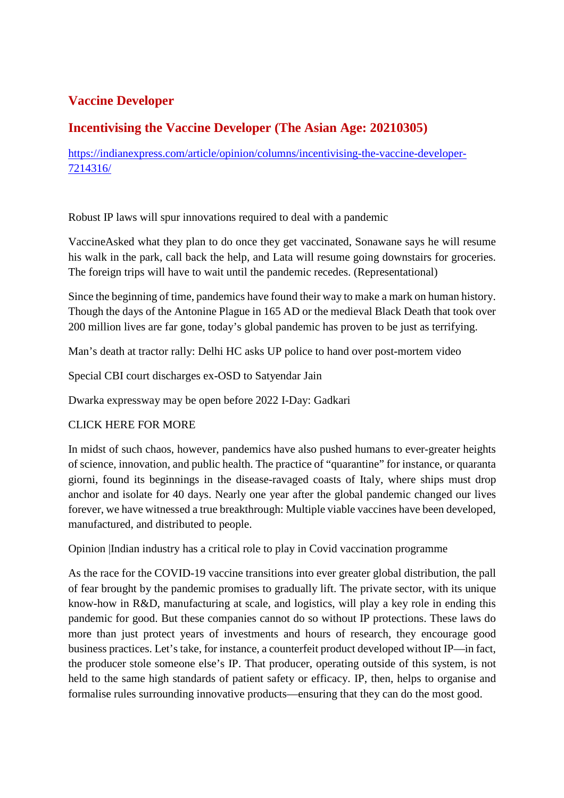#### **Vaccine Developer**

#### **Incentivising the Vaccine Developer (The Asian Age: 20210305)**

https://indianexpress.com/article/opinion/columns/incentivising-the-vaccine-developer-7214316/

Robust IP laws will spur innovations required to deal with a pandemic

VaccineAsked what they plan to do once they get vaccinated, Sonawane says he will resume his walk in the park, call back the help, and Lata will resume going downstairs for groceries. The foreign trips will have to wait until the pandemic recedes. (Representational)

Since the beginning of time, pandemics have found their way to make a mark on human history. Though the days of the Antonine Plague in 165 AD or the medieval Black Death that took over 200 million lives are far gone, today's global pandemic has proven to be just as terrifying.

Man's death at tractor rally: Delhi HC asks UP police to hand over post-mortem video

Special CBI court discharges ex-OSD to Satyendar Jain

Dwarka expressway may be open before 2022 I-Day: Gadkari

#### CLICK HERE FOR MORE

In midst of such chaos, however, pandemics have also pushed humans to ever-greater heights of science, innovation, and public health. The practice of "quarantine" for instance, or quaranta giorni, found its beginnings in the disease-ravaged coasts of Italy, where ships must drop anchor and isolate for 40 days. Nearly one year after the global pandemic changed our lives forever, we have witnessed a true breakthrough: Multiple viable vaccines have been developed, manufactured, and distributed to people.

Opinion |Indian industry has a critical role to play in Covid vaccination programme

As the race for the COVID-19 vaccine transitions into ever greater global distribution, the pall of fear brought by the pandemic promises to gradually lift. The private sector, with its unique know-how in R&D, manufacturing at scale, and logistics, will play a key role in ending this pandemic for good. But these companies cannot do so without IP protections. These laws do more than just protect years of investments and hours of research, they encourage good business practices. Let's take, for instance, a counterfeit product developed without IP—in fact, the producer stole someone else's IP. That producer, operating outside of this system, is not held to the same high standards of patient safety or efficacy. IP, then, helps to organise and formalise rules surrounding innovative products—ensuring that they can do the most good.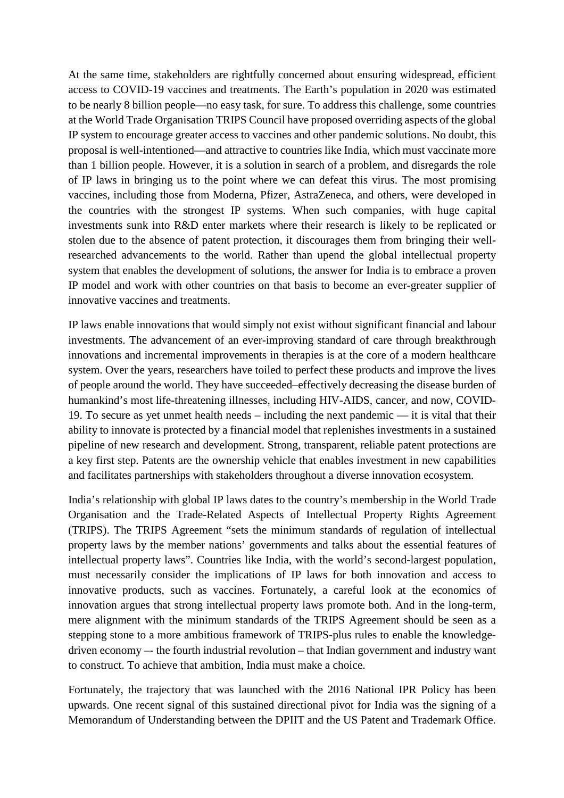At the same time, stakeholders are rightfully concerned about ensuring widespread, efficient access to COVID-19 vaccines and treatments. The Earth's population in 2020 was estimated to be nearly 8 billion people—no easy task, for sure. To address this challenge, some countries at the World Trade Organisation TRIPS Council have proposed overriding aspects of the global IP system to encourage greater access to vaccines and other pandemic solutions. No doubt, this proposal is well-intentioned—and attractive to countries like India, which must vaccinate more than 1 billion people. However, it is a solution in search of a problem, and disregards the role of IP laws in bringing us to the point where we can defeat this virus. The most promising vaccines, including those from Moderna, Pfizer, AstraZeneca, and others, were developed in the countries with the strongest IP systems. When such companies, with huge capital investments sunk into R&D enter markets where their research is likely to be replicated or stolen due to the absence of patent protection, it discourages them from bringing their wellresearched advancements to the world. Rather than upend the global intellectual property system that enables the development of solutions, the answer for India is to embrace a proven IP model and work with other countries on that basis to become an ever-greater supplier of innovative vaccines and treatments.

IP laws enable innovations that would simply not exist without significant financial and labour investments. The advancement of an ever-improving standard of care through breakthrough innovations and incremental improvements in therapies is at the core of a modern healthcare system. Over the years, researchers have toiled to perfect these products and improve the lives of people around the world. They have succeeded–effectively decreasing the disease burden of humankind's most life-threatening illnesses, including HIV-AIDS, cancer, and now, COVID-19. To secure as yet unmet health needs – including the next pandemic — it is vital that their ability to innovate is protected by a financial model that replenishes investments in a sustained pipeline of new research and development. Strong, transparent, reliable patent protections are a key first step. Patents are the ownership vehicle that enables investment in new capabilities and facilitates partnerships with stakeholders throughout a diverse innovation ecosystem.

India's relationship with global IP laws dates to the country's membership in the World Trade Organisation and the Trade-Related Aspects of Intellectual Property Rights Agreement (TRIPS). The TRIPS Agreement "sets the minimum standards of regulation of intellectual property laws by the member nations' governments and talks about the essential features of intellectual property laws". Countries like India, with the world's second-largest population, must necessarily consider the implications of IP laws for both innovation and access to innovative products, such as vaccines. Fortunately, a careful look at the economics of innovation argues that strong intellectual property laws promote both. And in the long-term, mere alignment with the minimum standards of the TRIPS Agreement should be seen as a stepping stone to a more ambitious framework of TRIPS-plus rules to enable the knowledgedriven economy –- the fourth industrial revolution – that Indian government and industry want to construct. To achieve that ambition, India must make a choice.

Fortunately, the trajectory that was launched with the 2016 National IPR Policy has been upwards. One recent signal of this sustained directional pivot for India was the signing of a Memorandum of Understanding between the DPIIT and the US Patent and Trademark Office.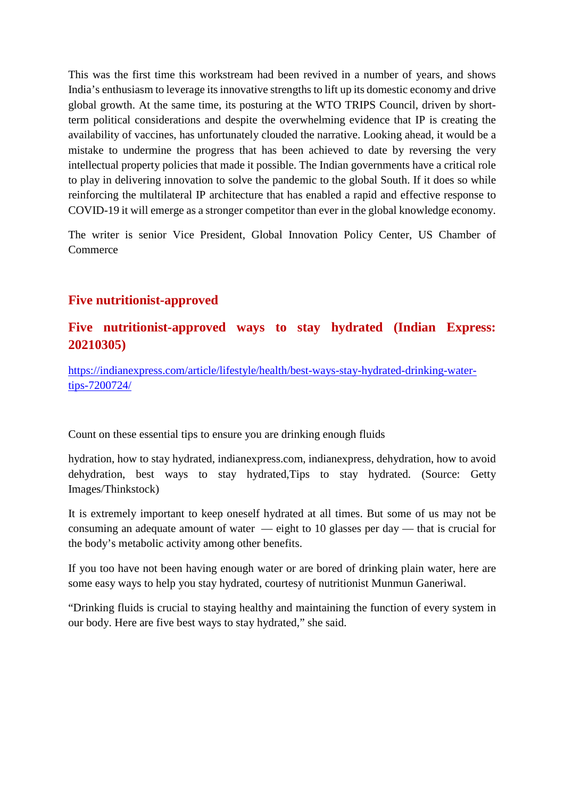This was the first time this workstream had been revived in a number of years, and shows India's enthusiasm to leverage its innovative strengths to lift up its domestic economy and drive global growth. At the same time, its posturing at the WTO TRIPS Council, driven by shortterm political considerations and despite the overwhelming evidence that IP is creating the availability of vaccines, has unfortunately clouded the narrative. Looking ahead, it would be a mistake to undermine the progress that has been achieved to date by reversing the very intellectual property policies that made it possible. The Indian governments have a critical role to play in delivering innovation to solve the pandemic to the global South. If it does so while reinforcing the multilateral IP architecture that has enabled a rapid and effective response to COVID-19 it will emerge as a stronger competitor than ever in the global knowledge economy.

The writer is senior Vice President, Global Innovation Policy Center, US Chamber of **Commerce** 

#### **Five nutritionist-approved**

#### **Five nutritionist-approved ways to stay hydrated (Indian Express: 20210305)**

https://indianexpress.com/article/lifestyle/health/best-ways-stay-hydrated-drinking-watertips-7200724/

Count on these essential tips to ensure you are drinking enough fluids

hydration, how to stay hydrated, indianexpress.com, indianexpress, dehydration, how to avoid dehydration, best ways to stay hydrated,Tips to stay hydrated. (Source: Getty Images/Thinkstock)

It is extremely important to keep oneself hydrated at all times. But some of us may not be consuming an adequate amount of water — eight to 10 glasses per day — that is crucial for the body's metabolic activity among other benefits.

If you too have not been having enough water or are bored of drinking plain water, here are some easy ways to help you stay hydrated, courtesy of nutritionist Munmun Ganeriwal.

"Drinking fluids is crucial to staying healthy and maintaining the function of every system in our body. Here are five best ways to stay hydrated," she said.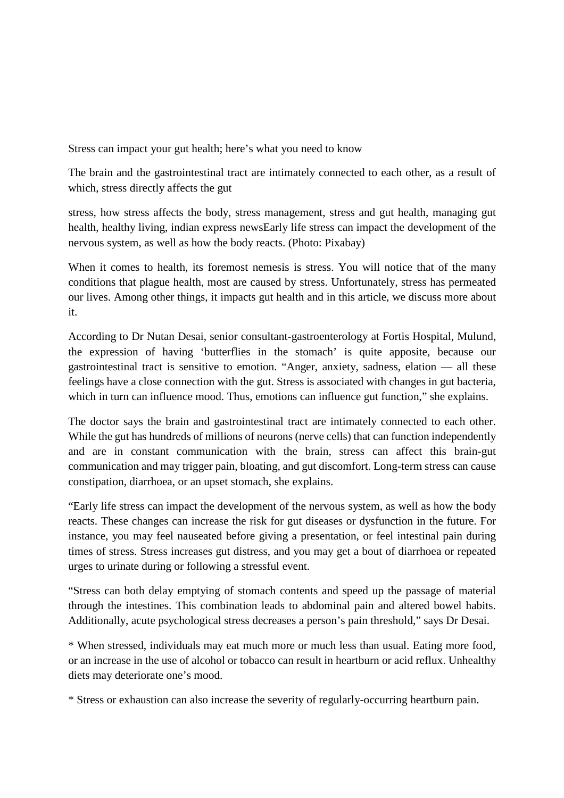Stress can impact your gut health; here's what you need to know

The brain and the gastrointestinal tract are intimately connected to each other, as a result of which, stress directly affects the gut

stress, how stress affects the body, stress management, stress and gut health, managing gut health, healthy living, indian express newsEarly life stress can impact the development of the nervous system, as well as how the body reacts. (Photo: Pixabay)

When it comes to health, its foremost nemesis is stress. You will notice that of the many conditions that plague health, most are caused by stress. Unfortunately, stress has permeated our lives. Among other things, it impacts gut health and in this article, we discuss more about it.

According to Dr Nutan Desai, senior consultant-gastroenterology at Fortis Hospital, Mulund, the expression of having 'butterflies in the stomach' is quite apposite, because our gastrointestinal tract is sensitive to emotion. "Anger, anxiety, sadness, elation — all these feelings have a close connection with the gut. Stress is associated with changes in gut bacteria, which in turn can influence mood. Thus, emotions can influence gut function," she explains.

The doctor says the brain and gastrointestinal tract are intimately connected to each other. While the gut has hundreds of millions of neurons (nerve cells) that can function independently and are in constant communication with the brain, stress can affect this brain-gut communication and may trigger pain, bloating, and gut discomfort. Long-term stress can cause constipation, diarrhoea, or an upset stomach, she explains.

"Early life stress can impact the development of the nervous system, as well as how the body reacts. These changes can increase the risk for gut diseases or dysfunction in the future. For instance, you may feel nauseated before giving a presentation, or feel intestinal pain during times of stress. Stress increases gut distress, and you may get a bout of diarrhoea or repeated urges to urinate during or following a stressful event.

"Stress can both delay emptying of stomach contents and speed up the passage of material through the intestines. This combination leads to abdominal pain and altered bowel habits. Additionally, acute psychological stress decreases a person's pain threshold," says Dr Desai.

\* When stressed, individuals may eat much more or much less than usual. Eating more food, or an increase in the use of alcohol or tobacco can result in heartburn or acid reflux. Unhealthy diets may deteriorate one's mood.

\* Stress or exhaustion can also increase the severity of regularly-occurring heartburn pain.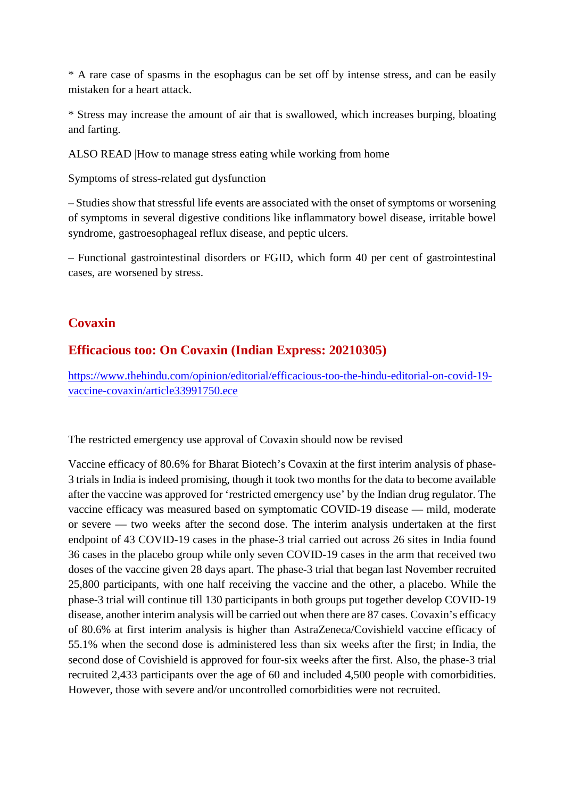\* A rare case of spasms in the esophagus can be set off by intense stress, and can be easily mistaken for a heart attack.

\* Stress may increase the amount of air that is swallowed, which increases burping, bloating and farting.

ALSO READ |How to manage stress eating while working from home

Symptoms of stress-related gut dysfunction

– Studies show that stressful life events are associated with the onset of symptoms or worsening of symptoms in several digestive conditions like inflammatory bowel disease, irritable bowel syndrome, gastroesophageal reflux disease, and peptic ulcers.

– Functional gastrointestinal disorders or FGID, which form 40 per cent of gastrointestinal cases, are worsened by stress.

#### **Covaxin**

#### **Efficacious too: On Covaxin (Indian Express: 20210305)**

https://www.thehindu.com/opinion/editorial/efficacious-too-the-hindu-editorial-on-covid-19 vaccine-covaxin/article33991750.ece

The restricted emergency use approval of Covaxin should now be revised

Vaccine efficacy of 80.6% for Bharat Biotech's Covaxin at the first interim analysis of phase-3 trials in India is indeed promising, though it took two months for the data to become available after the vaccine was approved for 'restricted emergency use' by the Indian drug regulator. The vaccine efficacy was measured based on symptomatic COVID-19 disease — mild, moderate or severe — two weeks after the second dose. The interim analysis undertaken at the first endpoint of 43 COVID-19 cases in the phase-3 trial carried out across 26 sites in India found 36 cases in the placebo group while only seven COVID-19 cases in the arm that received two doses of the vaccine given 28 days apart. The phase-3 trial that began last November recruited 25,800 participants, with one half receiving the vaccine and the other, a placebo. While the phase-3 trial will continue till 130 participants in both groups put together develop COVID-19 disease, another interim analysis will be carried out when there are 87 cases. Covaxin's efficacy of 80.6% at first interim analysis is higher than AstraZeneca/Covishield vaccine efficacy of 55.1% when the second dose is administered less than six weeks after the first; in India, the second dose of Covishield is approved for four-six weeks after the first. Also, the phase-3 trial recruited 2,433 participants over the age of 60 and included 4,500 people with comorbidities. However, those with severe and/or uncontrolled comorbidities were not recruited.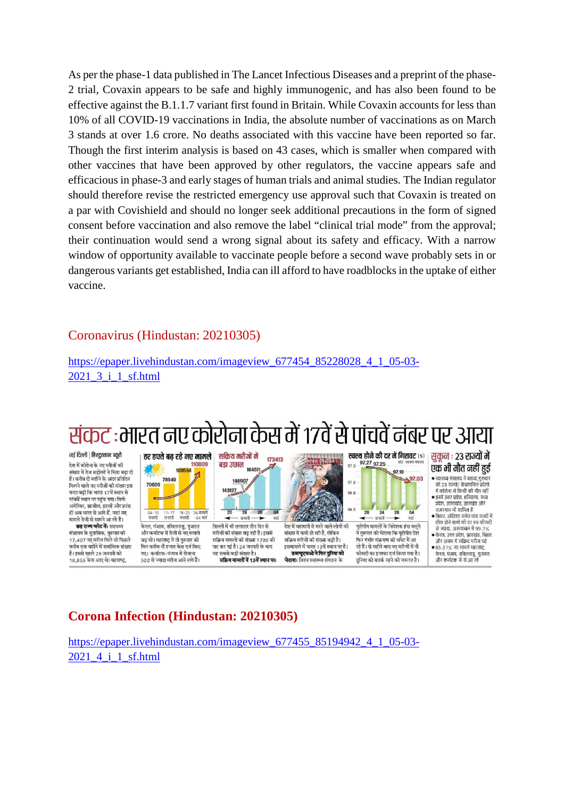As per the phase-1 data published in The Lancet Infectious Diseases and a preprint of the phase-2 trial, Covaxin appears to be safe and highly immunogenic, and has also been found to be effective against the B.1.1.7 variant first found in Britain. While Covaxin accounts for less than 10% of all COVID-19 vaccinations in India, the absolute number of vaccinations as on March 3 stands at over 1.6 crore. No deaths associated with this vaccine have been reported so far. Though the first interim analysis is based on 43 cases, which is smaller when compared with other vaccines that have been approved by other regulators, the vaccine appears safe and efficacious in phase-3 and early stages of human trials and animal studies. The Indian regulator should therefore revise the restricted emergency use approval such that Covaxin is treated on a par with Covishield and should no longer seek additional precautions in the form of signed consent before vaccination and also remove the label "clinical trial mode" from the approval; their continuation would send a wrong signal about its safety and efficacy. With a narrow window of opportunity available to vaccinate people before a second wave probably sets in or dangerous variants get established, India can ill afford to have roadblocks in the uptake of either vaccine.

#### Coronavirus (Hindustan: 20210305)

https://epaper.livehindustan.com/imageview\_677454\_85228028\_4\_1\_05-03-2021\_3\_i\_1\_sf.html

### संकट :भारत नए कोरोना केस में १७वें से पांचवें नंबर पर आया

173413

नई दिल्ली | हिन्दुस्तान ब्यूरो .<br>देश में कोरोना के नए मरीजों की संख्या में तेज बढ़ोतरी ने चिंता बढ़ा दी .<br>है। करीब दो महीने के अंदर प्रतिदिन पिल्नने वाले नए प्रगीलों की संस्था हुस -<br>कदर बढ़ी कि भारत 17वें स्थान से पांचवें स्थान पर पहुंच गया। सिर्फ अमेरिका, ब्राजील, इटली और फ्रांस ना सम्मा, जानारा, ३००१ जारतम्<br>ही अब भारत से आगे हैं, जहां नए<br>मामले तेजी से सामने आ रहे हैं।

छह राज्य चपेट में: स्वास्थ्य मंत्रालय के मुताबिक, गुरुवार को<br>17,407 नए मरीज मिले जो पिछले करीब एक महीने में सर्वाधिक संख्या है। इससे पहले 29 जनवरी को 18.855 केस आए थे। महाराष्ट

70020 143127 04 - 10<br>फरवरी -<br>11-17 - 18-25 - 26 फरवरी<br>फरवरी - 104 मार्च .<br>केरल, पंजाब, तमिलनाड, गजरात और कर्नाटक में तेजी से नए मामले बढ़ रहे। महाराष्ट्र में तो गुरुवार को फिर करीब नौ हजार केस दर्ज किए गए। कर्नाटक-पंजाब में रोजाना 500 से ज्यादा मरीज आने लगे हैं।

हर हफ्ते बढ रहे नए मामले

78949

100504

110009

 $\overline{20}$  $\overline{2\delta}$  $28$  $-$  फरवरी -, दिल्ली में भी लगातार तीन दिन से मरीजों की संख्या बढ़ रही है। इससे .<br>सक्रिय मामलों की संख्या 1700 को पार कर गई है। 24 जनवरी के बाद यह सबसे बड़ी संख्या है सक्रिय मामलों में 13वें स्थान पर:

सकिय मरीजों में

146907

164511

बड़ा उछाल

96.8 96.5  $\overline{\mathfrak{a}}$ 稻 मार्च .<br>देश में महामारी से मरने वाले लोगों की संख्या में कमी हो रही है. लेकिन सक्रिय मरीजों की संख्या बढ़ी है। इसमामले में भारत 13वें स्थान पर है। डब्ल्यूएचओ ने फिर दुनिया को चेतावाः विश्व स्वास्थ्य संगठन के

 $$97.03$ 97.0 20 24  $\overline{28}$  $04$  $- \frac{1}{10000}$ ⊋ न्तं यूरोपीय मामलों के निदेशक हंस क्लूगे .<br>ने गरुवार को चेताया कि यरोपीय देश फिर गंभीर संक्रमण की चपेट में आ रहे हैं। दो महीने बाद नए मरीजों में नौ फीसदी का इजाफा दर्ज किया गया है। दनिया को सतर्क रहने की जरूरत है।

97.27 97.25

 $97.3$ 

स्वस्थ होने की दर में गिरावट (%)

97.10

सुकुन : 23 राज्यों में एक भी मौत नहीं हुई

- स्वास्थ्य मंत्रालय ने बताया,गुरुवार<br>को २३ राज्यो/ केंद्रशासित प्रदेशों में कोरोना से किसी की मौत नहीं ● इनमें उत्तर प्रदेश, हरियाणा, मध्य<br>■ प्रदेश, उत्तराखंड, झारखंड और
- गतरणार भी शामिल है राजस्थान ना सामल ह<br>बिहार, ओडिशा समेत पांच राज्यों में<br>ठीक होने वालों की दर 99 फीसदी
- से ज्यादा. अरुणाचल में ९९.७% • केरल, उत्तर प्रदेश, झारखंड, बिहार और असम में सक्रिय मरीज घटे
- 85.51% नए मामले महाराष्ट्र केरल, पंजाब, तमिलनाडु, गुजरात और कर्नाटक से से आ रहे

**Corona Infection (Hindustan: 20210305)**

https://epaper.livehindustan.com/imageview\_677455\_85194942\_4\_1\_05-03-2021 4 i 1 sf.html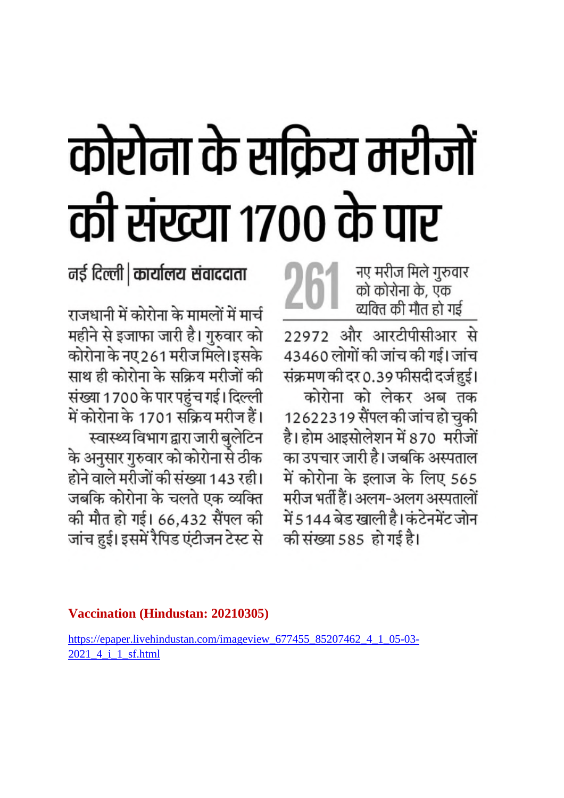# कोरोना के सक्रिय मरीजों की संख्या १७०० के पार

 $26$  , नए मरीज मिले गुरुवार<br>को कोरोना के, एक व्यक्ति की मौत हो गई

22972 और आरटीपीसीआर से 43460 लोगों की जांच की गई। जांच संक्रमण की दर 0.39 फीसदी दर्ज हुई। कोरोना को लेकर अब तक 12622319 सैंपल की जांच हो चुकी है। होम आइसोलेशन में 870 मरीजों का उपचार जारी है। जबकि अस्पताल में कोरोना के इलाज के लिए 565 मरीज भर्ती हैं। अलग-अलग अस्पतालों में 5144 बेड खाली है। कंटेनमेंट जोन की संख्या 585 हो गई है।

नई दिल्ली | कार्यालय संवाददाता

राजधानी में कोरोना के मामलों में मार्च महीने से इजाफा जारी है। गुरुवार को कोरोना के नए 261 मरीजमिले। इसके साथ ही कोरोना के सक्रिय मरीजों की संख्या 1700 के पार पहुंच गई। दिल्ली में कोरोना के 1701 सक्रिय मरीज हैं। स्वास्थ्य विभाग द्वारा जारी बुलेटिन .<br>के अनुसार गुरुवार को कोरोना से ठीक होने वाले मरीजों की संख्या 143 रही। जबकि कोरोना के चलते एक व्यक्ति की मौत हो गई। 66,432 सैंपल की जांच हुई। इसमें रैपिड एंटीजन टेस्ट से

#### **Vaccination (Hindustan: 20210305)**

https://epaper.livehindustan.com/imageview\_677455\_85207462\_4\_1\_05-03- 2021\_4\_i\_1\_sf.html